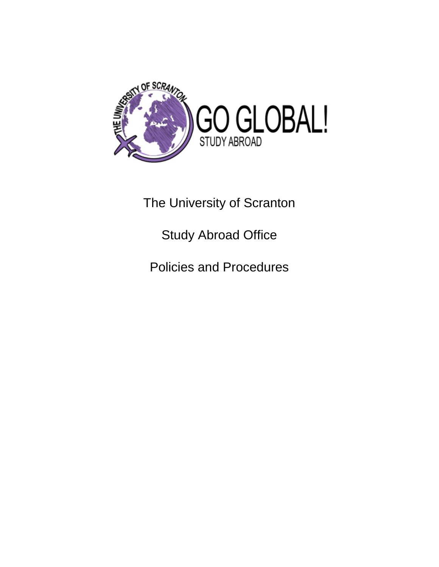

The University of Scranton

Study Abroad Office

Policies and Procedures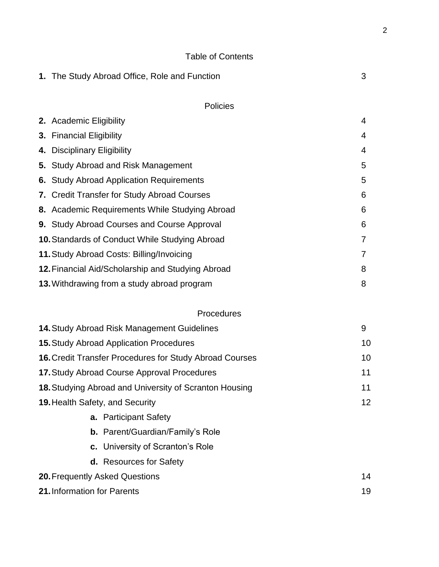### Table of Contents

|                                                               | 1. The Study Abroad Office, Role and Function                  | 3  |
|---------------------------------------------------------------|----------------------------------------------------------------|----|
|                                                               | <b>Policies</b>                                                |    |
|                                                               | 2. Academic Eligibility                                        | 4  |
|                                                               | 3. Financial Eligibility                                       | 4  |
|                                                               | 4. Disciplinary Eligibility                                    | 4  |
|                                                               | 5. Study Abroad and Risk Management                            | 5  |
|                                                               | 6. Study Abroad Application Requirements                       | 5  |
|                                                               | 7. Credit Transfer for Study Abroad Courses                    | 6  |
|                                                               | 8. Academic Requirements While Studying Abroad                 | 6  |
|                                                               | 9. Study Abroad Courses and Course Approval                    | 6  |
|                                                               | <b>10. Standards of Conduct While Studying Abroad</b>          | 7  |
|                                                               | 11. Study Abroad Costs: Billing/Invoicing                      | 7  |
|                                                               | 12. Financial Aid/Scholarship and Studying Abroad              | 8  |
|                                                               | 13. Withdrawing from a study abroad program                    | 8  |
|                                                               | Procedures                                                     |    |
|                                                               | 14. Study Abroad Risk Management Guidelines                    | 9  |
|                                                               | <b>15. Study Abroad Application Procedures</b>                 | 10 |
|                                                               | <b>16. Credit Transfer Procedures for Study Abroad Courses</b> | 10 |
|                                                               | 17. Study Abroad Course Approval Procedures                    | 11 |
| <b>18. Studying Abroad and University of Scranton Housing</b> |                                                                | 11 |
|                                                               | <b>19. Health Safety, and Security</b>                         | 12 |
|                                                               | <b>a.</b> Participant Safety                                   |    |
|                                                               | <b>b.</b> Parent/Guardian/Family's Role                        |    |
|                                                               | c. University of Scranton's Role                               |    |

**20.**Frequently Asked Questions 14 **21.** Information for Parents 19

**d.** Resources for Safety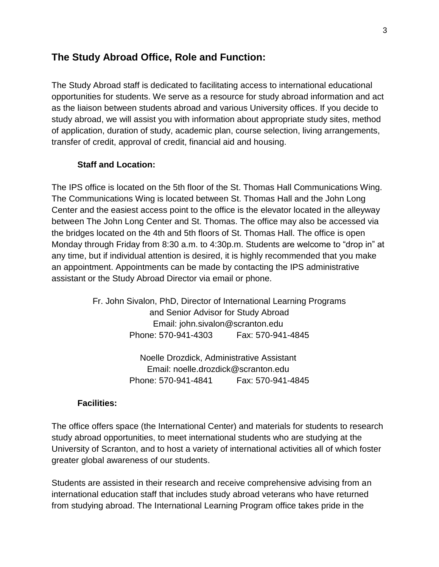# **The Study Abroad Office, Role and Function:**

The Study Abroad staff is dedicated to facilitating access to international educational opportunities for students. We serve as a resource for study abroad information and act as the liaison between students abroad and various University offices. If you decide to study abroad, we will assist you with information about appropriate study sites, method of application, duration of study, academic plan, course selection, living arrangements, transfer of credit, approval of credit, financial aid and housing.

#### **Staff and Location:**

The IPS office is located on the 5th floor of the St. Thomas Hall Communications Wing. The Communications Wing is located between St. Thomas Hall and the John Long Center and the easiest access point to the office is the elevator located in the alleyway between The John Long Center and St. Thomas. The office may also be accessed via the bridges located on the 4th and 5th floors of St. Thomas Hall. The office is open Monday through Friday from 8:30 a.m. to 4:30p.m. Students are welcome to "drop in" at any time, but if individual attention is desired, it is highly recommended that you make an appointment. Appointments can be made by contacting the IPS administrative assistant or the Study Abroad Director via email or phone.

> Fr. John Sivalon, PhD, Director of International Learning Programs and Senior Advisor for Study Abroad Email: john.sivalon@scranton.edu Phone: 570-941-4303 Fax: 570-941-4845

> > Noelle Drozdick, Administrative Assistant Email: noelle.drozdick@scranton.edu Phone: 570-941-4841 Fax: 570-941-4845

#### **Facilities:**

The office offers space (the International Center) and materials for students to research study abroad opportunities, to meet international students who are studying at the University of Scranton, and to host a variety of international activities all of which foster greater global awareness of our students.

Students are assisted in their research and receive comprehensive advising from an international education staff that includes study abroad veterans who have returned from studying abroad. The International Learning Program office takes pride in the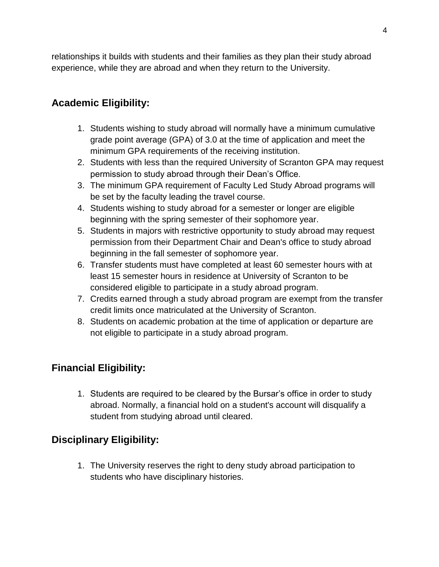relationships it builds with students and their families as they plan their study abroad experience, while they are abroad and when they return to the University.

# **Academic Eligibility:**

- 1. Students wishing to study abroad will normally have a minimum cumulative grade point average (GPA) of 3.0 at the time of application and meet the minimum GPA requirements of the receiving institution.
- 2. Students with less than the required University of Scranton GPA may request permission to study abroad through their Dean's Office.
- 3. The minimum GPA requirement of Faculty Led Study Abroad programs will be set by the faculty leading the travel course.
- 4. Students wishing to study abroad for a semester or longer are eligible beginning with the spring semester of their sophomore year.
- 5. Students in majors with restrictive opportunity to study abroad may request permission from their Department Chair and Dean's office to study abroad beginning in the fall semester of sophomore year.
- 6. Transfer students must have completed at least 60 semester hours with at least 15 semester hours in residence at University of Scranton to be considered eligible to participate in a study abroad program.
- 7. Credits earned through a study abroad program are exempt from the transfer credit limits once matriculated at the University of Scranton.
- 8. Students on academic probation at the time of application or departure are not eligible to participate in a study abroad program.

# **Financial Eligibility:**

1. Students are required to be cleared by the Bursar's office in order to study abroad. Normally, a financial hold on a student's account will disqualify a student from studying abroad until cleared.

# **Disciplinary Eligibility:**

1. The University reserves the right to deny study abroad participation to students who have disciplinary histories.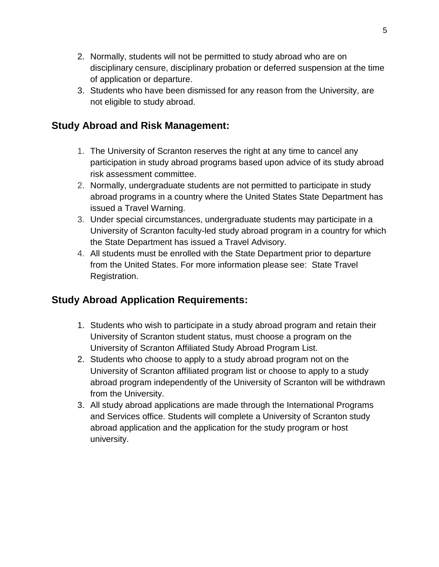- 2. Normally, students will not be permitted to study abroad who are on disciplinary censure, disciplinary probation or deferred suspension at the time of application or departure.
- 3. Students who have been dismissed for any reason from the University, are not eligible to study abroad.

# **Study Abroad and Risk Management:**

- 1. The University of Scranton reserves the right at any time to cancel any participation in study abroad programs based upon advice of its study abroad risk assessment committee.
- 2. Normally, undergraduate students are not permitted to participate in study abroad programs in a country where the United States State Department has issued a Travel Warning.
- 3. Under special circumstances, undergraduate students may participate in a University of Scranton faculty-led study abroad program in a country for which the State Department has issued a Travel Advisory.
- 4. All students must be enrolled with the State Department prior to departure from the United States. For more information please see: State Travel Registration.

# **Study Abroad Application Requirements:**

- 1. Students who wish to participate in a study abroad program and retain their University of Scranton student status, must choose a program on the University of Scranton Affiliated Study Abroad Program List.
- 2. Students who choose to apply to a study abroad program not on the University of Scranton affiliated program list or choose to apply to a study abroad program independently of the University of Scranton will be withdrawn from the University.
- 3. All study abroad applications are made through the International Programs and Services office. Students will complete a University of Scranton study abroad application and the application for the study program or host university.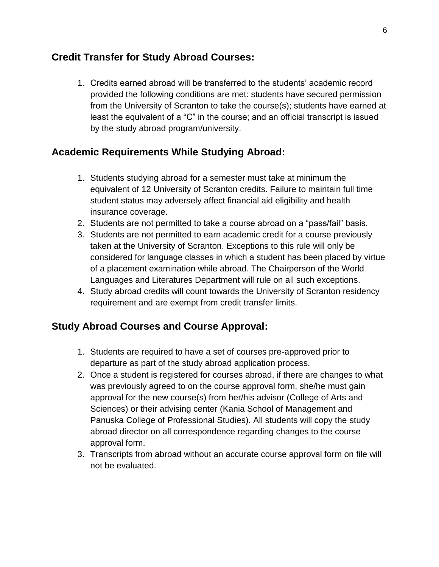# **Credit Transfer for Study Abroad Courses:**

1. Credits earned abroad will be transferred to the students' academic record provided the following conditions are met: students have secured permission from the University of Scranton to take the course(s); students have earned at least the equivalent of a "C" in the course; and an official transcript is issued by the study abroad program/university.

# **Academic Requirements While Studying Abroad:**

- 1. Students studying abroad for a semester must take at minimum the equivalent of 12 University of Scranton credits. Failure to maintain full time student status may adversely affect financial aid eligibility and health insurance coverage.
- 2. Students are not permitted to take a course abroad on a "pass/fail" basis.
- 3. Students are not permitted to earn academic credit for a course previously taken at the University of Scranton. Exceptions to this rule will only be considered for language classes in which a student has been placed by virtue of a placement examination while abroad. The Chairperson of the World Languages and Literatures Department will rule on all such exceptions.
- 4. Study abroad credits will count towards the University of Scranton residency requirement and are exempt from credit transfer limits.

# **Study Abroad Courses and Course Approval:**

- 1. Students are required to have a set of courses pre-approved prior to departure as part of the study abroad application process.
- 2. Once a student is registered for courses abroad, if there are changes to what was previously agreed to on the course approval form, she/he must gain approval for the new course(s) from her/his advisor (College of Arts and Sciences) or their advising center (Kania School of Management and Panuska College of Professional Studies). All students will copy the study abroad director on all correspondence regarding changes to the course approval form.
- 3. Transcripts from abroad without an accurate course approval form on file will not be evaluated.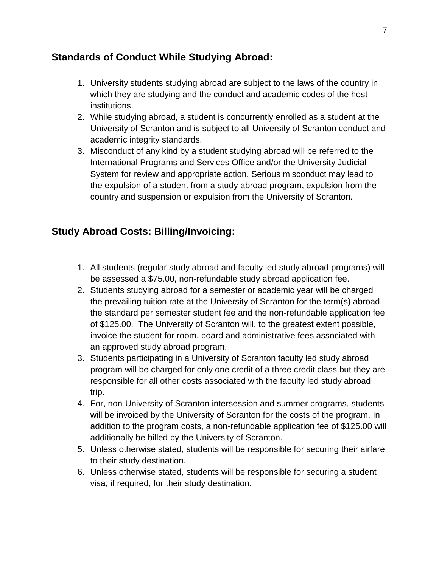# **Standards of Conduct While Studying Abroad:**

- 1. University students studying abroad are subject to the laws of the country in which they are studying and the conduct and academic codes of the host institutions.
- 2. While studying abroad, a student is concurrently enrolled as a student at the University of Scranton and is subject to all University of Scranton conduct and academic integrity standards.
- 3. Misconduct of any kind by a student studying abroad will be referred to the International Programs and Services Office and/or the University Judicial System for review and appropriate action. Serious misconduct may lead to the expulsion of a student from a study abroad program, expulsion from the country and suspension or expulsion from the University of Scranton.

# **Study Abroad Costs: Billing/Invoicing:**

- 1. All students (regular study abroad and faculty led study abroad programs) will be assessed a \$75.00, non-refundable study abroad application fee.
- 2. Students studying abroad for a semester or academic year will be charged the prevailing tuition rate at the University of Scranton for the term(s) abroad, the standard per semester student fee and the non-refundable application fee of \$125.00. The University of Scranton will, to the greatest extent possible, invoice the student for room, board and administrative fees associated with an approved study abroad program.
- 3. Students participating in a University of Scranton faculty led study abroad program will be charged for only one credit of a three credit class but they are responsible for all other costs associated with the faculty led study abroad trip.
- 4. For, non-University of Scranton intersession and summer programs, students will be invoiced by the University of Scranton for the costs of the program. In addition to the program costs, a non-refundable application fee of \$125.00 will additionally be billed by the University of Scranton.
- 5. Unless otherwise stated, students will be responsible for securing their airfare to their study destination.
- 6. Unless otherwise stated, students will be responsible for securing a student visa, if required, for their study destination.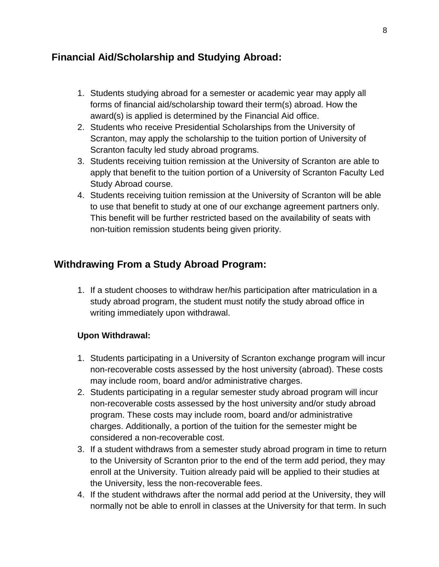# **Financial Aid/Scholarship and Studying Abroad:**

- 1. Students studying abroad for a semester or academic year may apply all forms of financial aid/scholarship toward their term(s) abroad. How the award(s) is applied is determined by the Financial Aid office.
- 2. Students who receive Presidential Scholarships from the University of Scranton, may apply the scholarship to the tuition portion of University of Scranton faculty led study abroad programs.
- 3. Students receiving tuition remission at the University of Scranton are able to apply that benefit to the tuition portion of a University of Scranton Faculty Led Study Abroad course.
- 4. Students receiving tuition remission at the University of Scranton will be able to use that benefit to study at one of our exchange agreement partners only. This benefit will be further restricted based on the availability of seats with non-tuition remission students being given priority.

# **Withdrawing From a Study Abroad Program:**

1. If a student chooses to withdraw her/his participation after matriculation in a study abroad program, the student must notify the study abroad office in writing immediately upon withdrawal.

# **Upon Withdrawal:**

- 1. Students participating in a University of Scranton exchange program will incur non-recoverable costs assessed by the host university (abroad). These costs may include room, board and/or administrative charges.
- 2. Students participating in a regular semester study abroad program will incur non-recoverable costs assessed by the host university and/or study abroad program. These costs may include room, board and/or administrative charges. Additionally, a portion of the tuition for the semester might be considered a non-recoverable cost.
- 3. If a student withdraws from a semester study abroad program in time to return to the University of Scranton prior to the end of the term add period, they may enroll at the University. Tuition already paid will be applied to their studies at the University, less the non-recoverable fees.
- 4. If the student withdraws after the normal add period at the University, they will normally not be able to enroll in classes at the University for that term. In such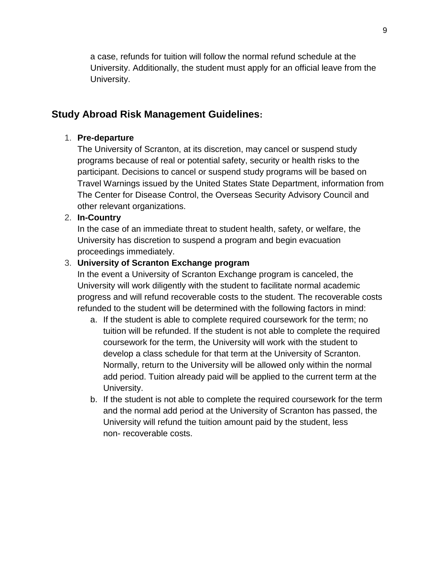a case, refunds for tuition will follow the normal refund schedule at the University. Additionally, the student must apply for an official leave from the University.

# **Study Abroad Risk Management Guidelines:**

#### 1. **Pre-departure**

The University of Scranton, at its discretion, may cancel or suspend study programs because of real or potential safety, security or health risks to the participant. Decisions to cancel or suspend study programs will be based on Travel Warnings issued by the United States State Department, information from The Center for Disease Control, the Overseas Security Advisory Council and other relevant organizations.

#### 2. **In-Country**

In the case of an immediate threat to student health, safety, or welfare, the University has discretion to suspend a program and begin evacuation proceedings immediately.

#### 3. **University of Scranton Exchange program**

In the event a University of Scranton Exchange program is canceled, the University will work diligently with the student to facilitate normal academic progress and will refund recoverable costs to the student. The recoverable costs refunded to the student will be determined with the following factors in mind:

- a. If the student is able to complete required coursework for the term; no tuition will be refunded. If the student is not able to complete the required coursework for the term, the University will work with the student to develop a class schedule for that term at the University of Scranton. Normally, return to the University will be allowed only within the normal add period. Tuition already paid will be applied to the current term at the University.
- b. If the student is not able to complete the required coursework for the term and the normal add period at the University of Scranton has passed, the University will refund the tuition amount paid by the student, less non- recoverable costs.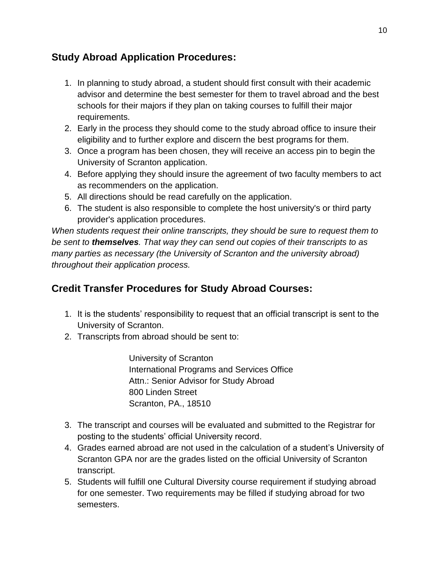# **Study Abroad Application Procedures:**

- 1. In planning to study abroad, a student should first consult with their academic advisor and determine the best semester for them to travel abroad and the best schools for their majors if they plan on taking courses to fulfill their major requirements.
- 2. Early in the process they should come to the study abroad office to insure their eligibility and to further explore and discern the best programs for them.
- 3. Once a program has been chosen, they will receive an access pin to begin the University of Scranton application.
- 4. Before applying they should insure the agreement of two faculty members to act as recommenders on the application.
- 5. All directions should be read carefully on the application.
- 6. The student is also responsible to complete the host university's or third party provider's application procedures.

*When students request their online transcripts, they should be sure to request them to be sent to themselves. That way they can send out copies of their transcripts to as many parties as necessary (the University of Scranton and the university abroad) throughout their application process.*

# **Credit Transfer Procedures for Study Abroad Courses:**

- 1. It is the students' responsibility to request that an official transcript is sent to the University of Scranton.
- 2. Transcripts from abroad should be sent to:

University of Scranton International Programs and Services Office Attn.: Senior Advisor for Study Abroad 800 Linden Street Scranton, PA., 18510

- 3. The transcript and courses will be evaluated and submitted to the Registrar for posting to the students' official University record.
- 4. Grades earned abroad are not used in the calculation of a student's University of Scranton GPA nor are the grades listed on the official University of Scranton transcript.
- 5. Students will fulfill one Cultural Diversity course requirement if studying abroad for one semester. Two requirements may be filled if studying abroad for two semesters.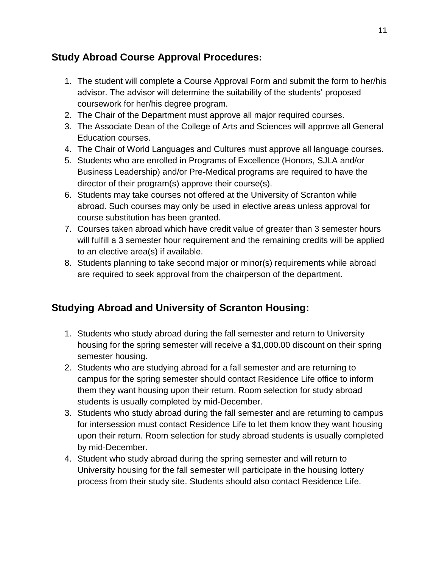# **Study Abroad Course Approval Procedures:**

- 1. The student will complete a Course Approval Form and submit the form to her/his advisor. The advisor will determine the suitability of the students' proposed coursework for her/his degree program.
- 2. The Chair of the Department must approve all major required courses.
- 3. The Associate Dean of the College of Arts and Sciences will approve all General Education courses.
- 4. The Chair of World Languages and Cultures must approve all language courses.
- 5. Students who are enrolled in Programs of Excellence (Honors, SJLA and/or Business Leadership) and/or Pre-Medical programs are required to have the director of their program(s) approve their course(s).
- 6. Students may take courses not offered at the University of Scranton while abroad. Such courses may only be used in elective areas unless approval for course substitution has been granted.
- 7. Courses taken abroad which have credit value of greater than 3 semester hours will fulfill a 3 semester hour requirement and the remaining credits will be applied to an elective area(s) if available.
- 8. Students planning to take second major or minor(s) requirements while abroad are required to seek approval from the chairperson of the department.

# **Studying Abroad and University of Scranton Housing:**

- 1. Students who study abroad during the fall semester and return to University housing for the spring semester will receive a \$1,000.00 discount on their spring semester housing.
- 2. Students who are studying abroad for a fall semester and are returning to campus for the spring semester should contact Residence Life office to inform them they want housing upon their return. Room selection for study abroad students is usually completed by mid-December.
- 3. Students who study abroad during the fall semester and are returning to campus for intersession must contact Residence Life to let them know they want housing upon their return. Room selection for study abroad students is usually completed by mid-December.
- 4. Student who study abroad during the spring semester and will return to University housing for the fall semester will participate in the housing lottery process from their study site. Students should also contact Residence Life.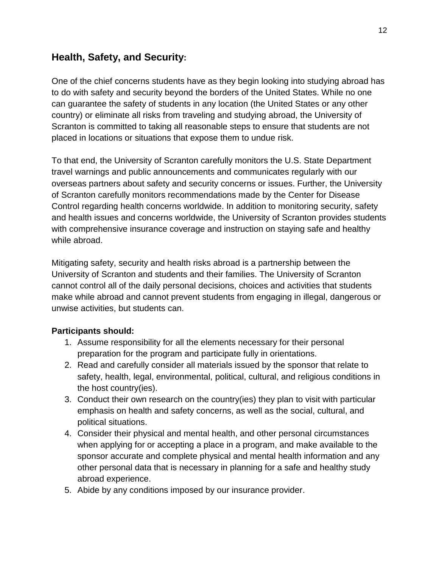# **Health, Safety, and Security:**

One of the chief concerns students have as they begin looking into studying abroad has to do with safety and security beyond the borders of the United States. While no one can guarantee the safety of students in any location (the United States or any other country) or eliminate all risks from traveling and studying abroad, the University of Scranton is committed to taking all reasonable steps to ensure that students are not placed in locations or situations that expose them to undue risk.

To that end, the University of Scranton carefully monitors the U.S. State Department travel warnings and public announcements and communicates regularly with our overseas partners about safety and security concerns or issues. Further, the University of Scranton carefully monitors recommendations made by the Center for Disease Control regarding health concerns worldwide. In addition to monitoring security, safety and health issues and concerns worldwide, the University of Scranton provides students with comprehensive insurance coverage and instruction on staying safe and healthy while abroad.

Mitigating safety, security and health risks abroad is a partnership between the University of Scranton and students and their families. The University of Scranton cannot control all of the daily personal decisions, choices and activities that students make while abroad and cannot prevent students from engaging in illegal, dangerous or unwise activities, but students can.

#### **Participants should:**

- 1. Assume responsibility for all the elements necessary for their personal preparation for the program and participate fully in orientations.
- 2. Read and carefully consider all materials issued by the sponsor that relate to safety, health, legal, environmental, political, cultural, and religious conditions in the host country(ies).
- 3. Conduct their own research on the country(ies) they plan to visit with particular emphasis on health and safety concerns, as well as the social, cultural, and political situations.
- 4. Consider their physical and mental health, and other personal circumstances when applying for or accepting a place in a program, and make available to the sponsor accurate and complete physical and mental health information and any other personal data that is necessary in planning for a safe and healthy study abroad experience.
- 5. Abide by any conditions imposed by our insurance provider.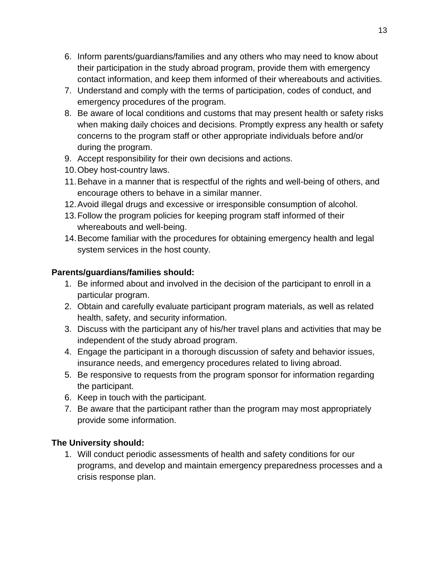- 6. Inform parents/guardians/families and any others who may need to know about their participation in the study abroad program, provide them with emergency contact information, and keep them informed of their whereabouts and activities.
- 7. Understand and comply with the terms of participation, codes of conduct, and emergency procedures of the program.
- 8. Be aware of local conditions and customs that may present health or safety risks when making daily choices and decisions. Promptly express any health or safety concerns to the program staff or other appropriate individuals before and/or during the program.
- 9. Accept responsibility for their own decisions and actions.
- 10.Obey host-country laws.
- 11.Behave in a manner that is respectful of the rights and well-being of others, and encourage others to behave in a similar manner.
- 12.Avoid illegal drugs and excessive or irresponsible consumption of alcohol.
- 13.Follow the program policies for keeping program staff informed of their whereabouts and well-being.
- 14.Become familiar with the procedures for obtaining emergency health and legal system services in the host county.

### **Parents/guardians/families should:**

- 1. Be informed about and involved in the decision of the participant to enroll in a particular program.
- 2. Obtain and carefully evaluate participant program materials, as well as related health, safety, and security information.
- 3. Discuss with the participant any of his/her travel plans and activities that may be independent of the study abroad program.
- 4. Engage the participant in a thorough discussion of safety and behavior issues, insurance needs, and emergency procedures related to living abroad.
- 5. Be responsive to requests from the program sponsor for information regarding the participant.
- 6. Keep in touch with the participant.
- 7. Be aware that the participant rather than the program may most appropriately provide some information.

# **The University should:**

1. Will conduct periodic assessments of health and safety conditions for our programs, and develop and maintain emergency preparedness processes and a crisis response plan.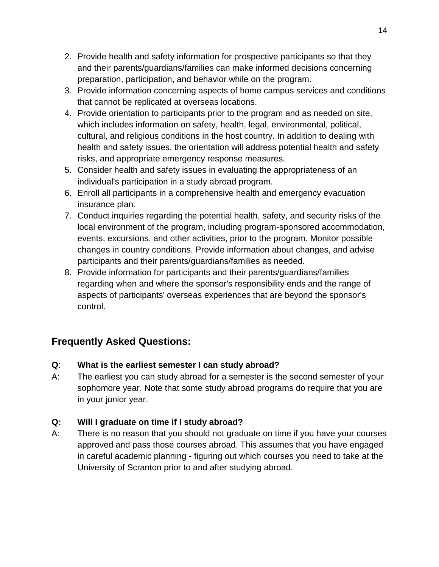- 2. Provide health and safety information for prospective participants so that they and their parents/guardians/families can make informed decisions concerning preparation, participation, and behavior while on the program.
- 3. Provide information concerning aspects of home campus services and conditions that cannot be replicated at overseas locations.
- 4. Provide orientation to participants prior to the program and as needed on site, which includes information on safety, health, legal, environmental, political, cultural, and religious conditions in the host country. In addition to dealing with health and safety issues, the orientation will address potential health and safety risks, and appropriate emergency response measures.
- 5. Consider health and safety issues in evaluating the appropriateness of an individual's participation in a study abroad program.
- 6. Enroll all participants in a comprehensive health and emergency evacuation insurance plan.
- 7. Conduct inquiries regarding the potential health, safety, and security risks of the local environment of the program, including program-sponsored accommodation, events, excursions, and other activities, prior to the program. Monitor possible changes in country conditions. Provide information about changes, and advise participants and their parents/guardians/families as needed.
- 8. Provide information for participants and their parents/guardians/families regarding when and where the sponsor's responsibility ends and the range of aspects of participants' overseas experiences that are beyond the sponsor's control.

# **Frequently Asked Questions:**

- **Q**: **What is the earliest semester I can study abroad?**
- A: The earliest you can study abroad for a semester is the second semester of your sophomore year. Note that some study abroad programs do require that you are in your junior year.

# **Q: Will I graduate on time if I study abroad?**

A: There is no reason that you should not graduate on time if you have your courses approved and pass those courses abroad. This assumes that you have engaged in careful academic planning - figuring out which courses you need to take at the University of Scranton prior to and after studying abroad.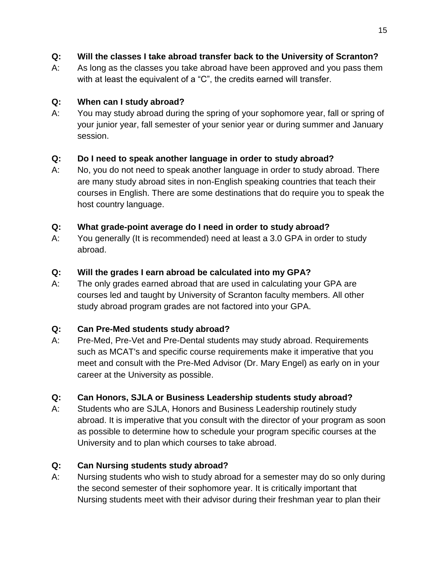- **Q: Will the classes I take abroad transfer back to the University of Scranton?**
- A: As long as the classes you take abroad have been approved and you pass them with at least the equivalent of a "C", the credits earned will transfer.

# **Q: When can I study abroad?**

A: You may study abroad during the spring of your sophomore year, fall or spring of your junior year, fall semester of your senior year or during summer and January session.

# **Q: Do I need to speak another language in order to study abroad?**

A: No, you do not need to speak another language in order to study abroad. There are many study abroad sites in non-English speaking countries that teach their courses in English. There are some destinations that do require you to speak the host country language.

# **Q: What grade-point average do I need in order to study abroad?**

A: You generally (It is recommended) need at least a 3.0 GPA in order to study abroad.

# **Q: Will the grades I earn abroad be calculated into my GPA?**

A: The only grades earned abroad that are used in calculating your GPA are courses led and taught by University of Scranton faculty members. All other study abroad program grades are not factored into your GPA.

# **Q: Can Pre-Med students study abroad?**

A: Pre-Med, Pre-Vet and Pre-Dental students may study abroad. Requirements such as MCAT's and specific course requirements make it imperative that you meet and consult with the Pre-Med Advisor (Dr. Mary Engel) as early on in your career at the University as possible.

# **Q: Can Honors, SJLA or Business Leadership students study abroad?**

A: Students who are SJLA, Honors and Business Leadership routinely study abroad. It is imperative that you consult with the director of your program as soon as possible to determine how to schedule your program specific courses at the University and to plan which courses to take abroad.

# **Q: Can Nursing students study abroad?**

A: Nursing students who wish to study abroad for a semester may do so only during the second semester of their sophomore year. It is critically important that Nursing students meet with their advisor during their freshman year to plan their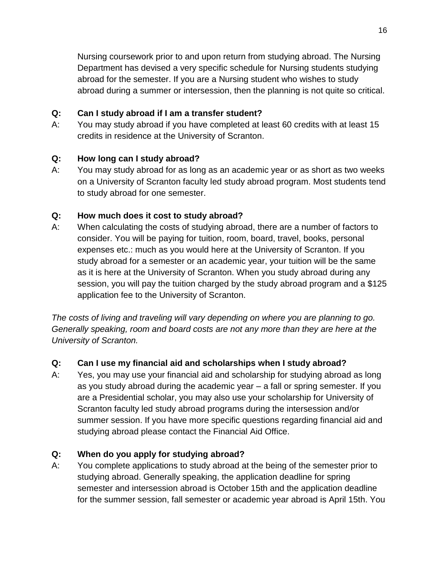Nursing coursework prior to and upon return from studying abroad. The Nursing Department has devised a very specific schedule for Nursing students studying abroad for the semester. If you are a Nursing student who wishes to study abroad during a summer or intersession, then the planning is not quite so critical.

#### **Q: Can I study abroad if I am a transfer student?**

A: You may study abroad if you have completed at least 60 credits with at least 15 credits in residence at the University of Scranton.

# **Q: How long can I study abroad?**

A: You may study abroad for as long as an academic year or as short as two weeks on a University of Scranton faculty led study abroad program. Most students tend to study abroad for one semester.

# **Q: How much does it cost to study abroad?**

A: When calculating the costs of studying abroad, there are a number of factors to consider. You will be paying for tuition, room, board, travel, books, personal expenses etc.: much as you would here at the University of Scranton. If you study abroad for a semester or an academic year, your tuition will be the same as it is here at the University of Scranton. When you study abroad during any session, you will pay the tuition charged by the study abroad program and a \$125 application fee to the University of Scranton.

*The costs of living and traveling will vary depending on where you are planning to go. Generally speaking, room and board costs are not any more than they are here at the University of Scranton.*

# **Q: Can I use my financial aid and scholarships when I study abroad?**

A: Yes, you may use your financial aid and scholarship for studying abroad as long as you study abroad during the academic year – a fall or spring semester. If you are a Presidential scholar, you may also use your scholarship for University of Scranton faculty led study abroad programs during the intersession and/or summer session. If you have more specific questions regarding financial aid and studying abroad please contact the Financial Aid Office.

# **Q: When do you apply for studying abroad?**

A: You complete applications to study abroad at the being of the semester prior to studying abroad. Generally speaking, the application deadline for spring semester and intersession abroad is October 15th and the application deadline for the summer session, fall semester or academic year abroad is April 15th. You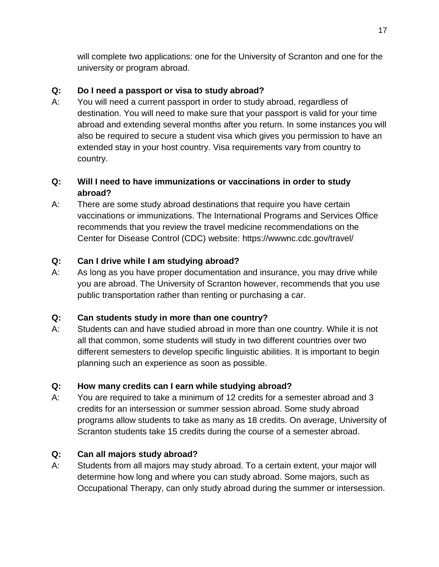will complete two applications: one for the University of Scranton and one for the university or program abroad.

# **Q: Do I need a passport or visa to study abroad?**

A: You will need a current passport in order to study abroad, regardless of destination. You will need to make sure that your passport is valid for your time abroad and extending several months after you return. In some instances you will also be required to secure a student visa which gives you permission to have an extended stay in your host country. Visa requirements vary from country to country.

# **Q: Will I need to have immunizations or vaccinations in order to study abroad?**

A: There are some study abroad destinations that require you have certain vaccinations or immunizations. The International Programs and Services Office recommends that you review the travel medicine recommendations on the Center for Disease Control (CDC) website: https://wwwnc.cdc.gov/travel/

# **Q: Can I drive while I am studying abroad?**

A: As long as you have proper documentation and insurance, you may drive while you are abroad. The University of Scranton however, recommends that you use public transportation rather than renting or purchasing a car.

# **Q: Can students study in more than one country?**

A: Students can and have studied abroad in more than one country. While it is not all that common, some students will study in two different countries over two different semesters to develop specific linguistic abilities. It is important to begin planning such an experience as soon as possible.

# **Q: How many credits can I earn while studying abroad?**

A: You are required to take a minimum of 12 credits for a semester abroad and 3 credits for an intersession or summer session abroad. Some study abroad programs allow students to take as many as 18 credits. On average, University of Scranton students take 15 credits during the course of a semester abroad.

# **Q: Can all majors study abroad?**

A: Students from all majors may study abroad. To a certain extent, your major will determine how long and where you can study abroad. Some majors, such as Occupational Therapy, can only study abroad during the summer or intersession.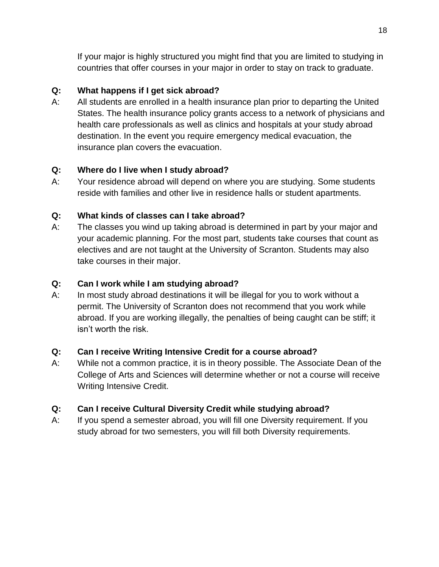If your major is highly structured you might find that you are limited to studying in countries that offer courses in your major in order to stay on track to graduate.

### **Q: What happens if I get sick abroad?**

A: All students are enrolled in a health insurance plan prior to departing the United States. The health insurance policy grants access to a network of physicians and health care professionals as well as clinics and hospitals at your study abroad destination. In the event you require emergency medical evacuation, the insurance plan covers the evacuation.

### **Q: Where do I live when I study abroad?**

A: Your residence abroad will depend on where you are studying. Some students reside with families and other live in residence halls or student apartments.

### **Q: What kinds of classes can I take abroad?**

A: The classes you wind up taking abroad is determined in part by your major and your academic planning. For the most part, students take courses that count as electives and are not taught at the University of Scranton. Students may also take courses in their major.

#### **Q: Can I work while I am studying abroad?**

A: In most study abroad destinations it will be illegal for you to work without a permit. The University of Scranton does not recommend that you work while abroad. If you are working illegally, the penalties of being caught can be stiff; it isn't worth the risk.

#### **Q: Can I receive Writing Intensive Credit for a course abroad?**

A: While not a common practice, it is in theory possible. The Associate Dean of the College of Arts and Sciences will determine whether or not a course will receive Writing Intensive Credit.

# **Q: Can I receive Cultural Diversity Credit while studying abroad?**

A: If you spend a semester abroad, you will fill one Diversity requirement. If you study abroad for two semesters, you will fill both Diversity requirements.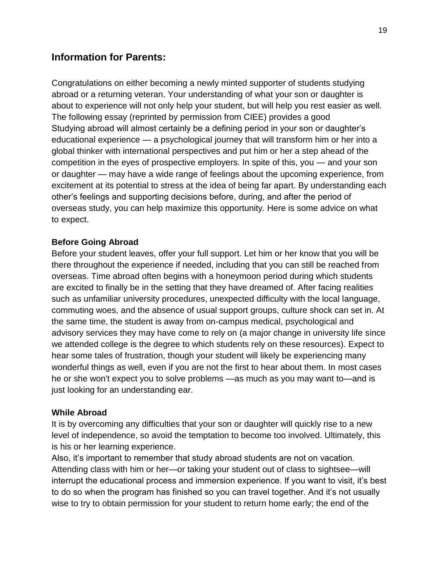# **Information for Parents:**

Congratulations on either becoming a newly minted supporter of students studying abroad or a returning veteran. Your understanding of what your son or daughter is about to experience will not only help your student, but will help you rest easier as well. The following essay (reprinted by permission from CIEE) provides a good Studying abroad will almost certainly be a defining period in your son or daughter's educational experience — a psychological journey that will transform him or her into a global thinker with international perspectives and put him or her a step ahead of the competition in the eyes of prospective employers. In spite of this, you — and your son or daughter — may have a wide range of feelings about the upcoming experience, from excitement at its potential to stress at the idea of being far apart. By understanding each other's feelings and supporting decisions before, during, and after the period of overseas study, you can help maximize this opportunity. Here is some advice on what to expect.

#### **Before Going Abroad**

Before your student leaves, offer your full support. Let him or her know that you will be there throughout the experience if needed, including that you can still be reached from overseas. Time abroad often begins with a honeymoon period during which students are excited to finally be in the setting that they have dreamed of. After facing realities such as unfamiliar university procedures, unexpected difficulty with the local language, commuting woes, and the absence of usual support groups, culture shock can set in. At the same time, the student is away from on-campus medical, psychological and advisory services they may have come to rely on (a major change in university life since we attended college is the degree to which students rely on these resources). Expect to hear some tales of frustration, though your student will likely be experiencing many wonderful things as well, even if you are not the first to hear about them. In most cases he or she won't expect you to solve problems —as much as you may want to—and is just looking for an understanding ear.

#### **While Abroad**

It is by overcoming any difficulties that your son or daughter will quickly rise to a new level of independence, so avoid the temptation to become too involved. Ultimately, this is his or her learning experience.

Also, it's important to remember that study abroad students are not on vacation. Attending class with him or her—or taking your student out of class to sightsee—will interrupt the educational process and immersion experience. If you want to visit, it's best to do so when the program has finished so you can travel together. And it's not usually wise to try to obtain permission for your student to return home early; the end of the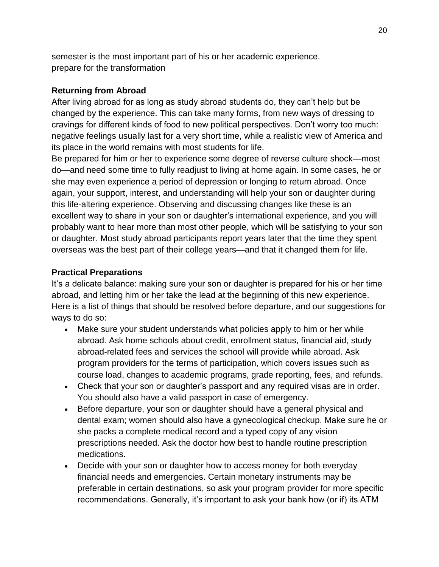semester is the most important part of his or her academic experience. prepare for the transformation

#### **Returning from Abroad**

After living abroad for as long as study abroad students do, they can't help but be changed by the experience. This can take many forms, from new ways of dressing to cravings for different kinds of food to new political perspectives. Don't worry too much: negative feelings usually last for a very short time, while a realistic view of America and its place in the world remains with most students for life.

Be prepared for him or her to experience some degree of reverse culture shock—most do—and need some time to fully readjust to living at home again. In some cases, he or she may even experience a period of depression or longing to return abroad. Once again, your support, interest, and understanding will help your son or daughter during this life-altering experience. Observing and discussing changes like these is an excellent way to share in your son or daughter's international experience, and you will probably want to hear more than most other people, which will be satisfying to your son or daughter. Most study abroad participants report years later that the time they spent overseas was the best part of their college years—and that it changed them for life.

#### **Practical Preparations**

It's a delicate balance: making sure your son or daughter is prepared for his or her time abroad, and letting him or her take the lead at the beginning of this new experience. Here is a list of things that should be resolved before departure, and our suggestions for ways to do so:

- Make sure your student understands what policies apply to him or her while abroad. Ask home schools about credit, enrollment status, financial aid, study abroad-related fees and services the school will provide while abroad. Ask program providers for the terms of participation, which covers issues such as course load, changes to academic programs, grade reporting, fees, and refunds.
- Check that your son or daughter's passport and any required visas are in order. You should also have a valid passport in case of emergency.
- Before departure, your son or daughter should have a general physical and dental exam; women should also have a gynecological checkup. Make sure he or she packs a complete medical record and a typed copy of any vision prescriptions needed. Ask the doctor how best to handle routine prescription medications.
- Decide with your son or daughter how to access money for both everyday financial needs and emergencies. Certain monetary instruments may be preferable in certain destinations, so ask your program provider for more specific recommendations. Generally, it's important to ask your bank how (or if) its ATM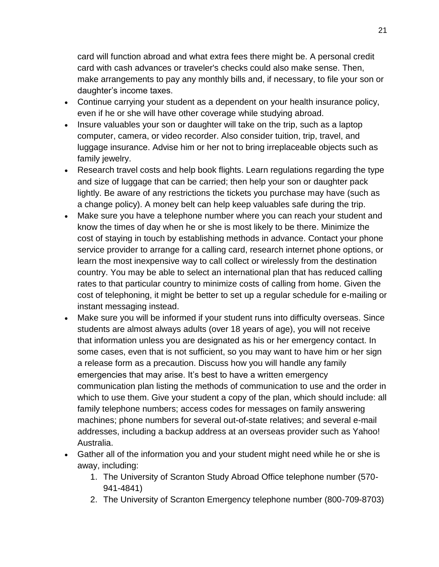card will function abroad and what extra fees there might be. A personal credit card with cash advances or traveler's checks could also make sense. Then, make arrangements to pay any monthly bills and, if necessary, to file your son or daughter's income taxes.

- Continue carrying your student as a dependent on your health insurance policy, even if he or she will have other coverage while studying abroad.
- Insure valuables your son or daughter will take on the trip, such as a laptop computer, camera, or video recorder. Also consider tuition, trip, travel, and luggage insurance. Advise him or her not to bring irreplaceable objects such as family jewelry.
- Research travel costs and help book flights. Learn regulations regarding the type and size of luggage that can be carried; then help your son or daughter pack lightly. Be aware of any restrictions the tickets you purchase may have (such as a change policy). A money belt can help keep valuables safe during the trip.
- Make sure you have a telephone number where you can reach your student and know the times of day when he or she is most likely to be there. Minimize the cost of staying in touch by establishing methods in advance. Contact your phone service provider to arrange for a calling card, research internet phone options, or learn the most inexpensive way to call collect or wirelessly from the destination country. You may be able to select an international plan that has reduced calling rates to that particular country to minimize costs of calling from home. Given the cost of telephoning, it might be better to set up a regular schedule for e-mailing or instant messaging instead.
- Make sure you will be informed if your student runs into difficulty overseas. Since students are almost always adults (over 18 years of age), you will not receive that information unless you are designated as his or her emergency contact. In some cases, even that is not sufficient, so you may want to have him or her sign a release form as a precaution. Discuss how you will handle any family emergencies that may arise. It's best to have a written emergency communication plan listing the methods of communication to use and the order in which to use them. Give your student a copy of the plan, which should include: all family telephone numbers; access codes for messages on family answering machines; phone numbers for several out-of-state relatives; and several e-mail addresses, including a backup address at an overseas provider such as Yahoo! Australia.
- Gather all of the information you and your student might need while he or she is away, including:
	- 1. The University of Scranton Study Abroad Office telephone number (570- 941-4841)
	- 2. The University of Scranton Emergency telephone number (800-709-8703)